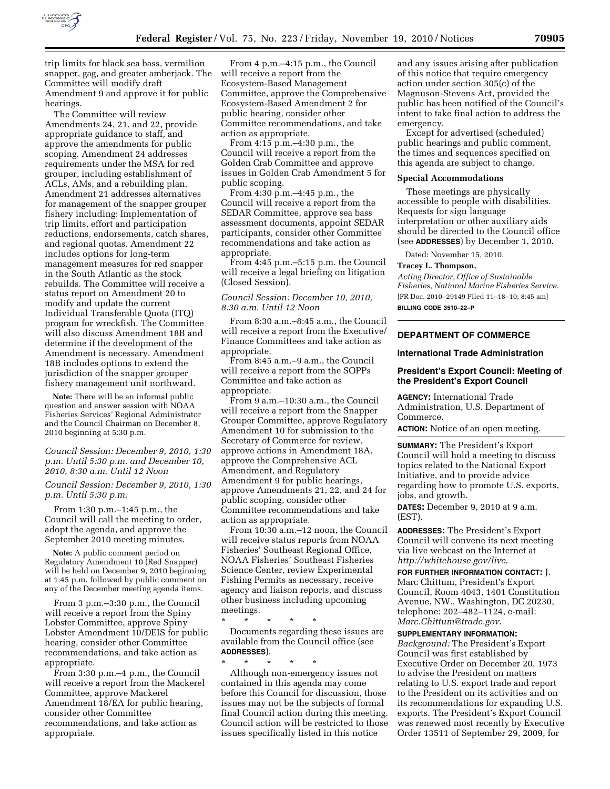

trip limits for black sea bass, vermilion snapper, gag, and greater amberjack. The Committee will modify draft Amendment 9 and approve it for public hearings.

The Committee will review Amendments 24, 21, and 22, provide appropriate guidance to staff, and approve the amendments for public scoping. Amendment 24 addresses requirements under the MSA for red grouper, including establishment of ACLs, AMs, and a rebuilding plan. Amendment 21 addresses alternatives for management of the snapper grouper fishery including: Implementation of trip limits, effort and participation reductions, endorsements, catch shares, and regional quotas. Amendment 22 includes options for long-term management measures for red snapper in the South Atlantic as the stock rebuilds. The Committee will receive a status report on Amendment 20 to modify and update the current Individual Transferable Quota (ITQ) program for wreckfish. The Committee will also discuss Amendment 18B and determine if the development of the Amendment is necessary. Amendment 18B includes options to extend the jurisdiction of the snapper grouper fishery management unit northward.

**Note:** There will be an informal public question and answer session with NOAA Fisheries Services' Regional Administrator and the Council Chairman on December 8, 2010 beginning at 5:30 p.m.

*Council Session: December 9, 2010, 1:30 p.m. Until 5:30 p.m. and December 10, 2010, 8:30 a.m. Until 12 Noon* 

*Council Session: December 9, 2010, 1:30 p.m. Until 5:30 p.m.* 

From 1:30 p.m.–1:45 p.m., the Council will call the meeting to order, adopt the agenda, and approve the September 2010 meeting minutes.

**Note:** A public comment period on Regulatory Amendment 10 (Red Snapper) will be held on December 9, 2010 beginning at 1:45 p.m. followed by public comment on any of the December meeting agenda items.

From 3 p.m.–3:30 p.m., the Council will receive a report from the Spiny Lobster Committee, approve Spiny Lobster Amendment 10/DEIS for public hearing, consider other Committee recommendations, and take action as appropriate.

From 3:30 p.m.–4 p.m., the Council will receive a report from the Mackerel Committee, approve Mackerel Amendment 18/EA for public hearing, consider other Committee recommendations, and take action as appropriate.

From 4 p.m.–4:15 p.m., the Council will receive a report from the Ecosystem-Based Management Committee, approve the Comprehensive Ecosystem-Based Amendment 2 for public hearing, consider other Committee recommendations, and take action as appropriate.

From 4:15 p.m.–4:30 p.m., the Council will receive a report from the Golden Crab Committee and approve issues in Golden Crab Amendment 5 for public scoping.

From 4:30 p.m.–4:45 p.m., the Council will receive a report from the SEDAR Committee, approve sea bass assessment documents, appoint SEDAR participants, consider other Committee recommendations and take action as appropriate.

From 4:45 p.m.–5:15 p.m. the Council will receive a legal briefing on litigation (Closed Session).

*Council Session: December 10, 2010, 8:30 a.m. Until 12 Noon* 

From 8:30 a.m.–8:45 a.m., the Council will receive a report from the Executive/ Finance Committees and take action as appropriate.

From 8:45 a.m.–9 a.m., the Council will receive a report from the SOPPs Committee and take action as appropriate.

From 9 a.m.–10:30 a.m., the Council will receive a report from the Snapper Grouper Committee, approve Regulatory Amendment 10 for submission to the Secretary of Commerce for review, approve actions in Amendment 18A, approve the Comprehensive ACL Amendment, and Regulatory Amendment 9 for public hearings, approve Amendments 21, 22, and 24 for public scoping, consider other Committee recommendations and take action as appropriate.

From 10:30 a.m.–12 noon, the Council will receive status reports from NOAA Fisheries' Southeast Regional Office, NOAA Fisheries' Southeast Fisheries Science Center, review Experimental Fishing Permits as necessary, receive agency and liaison reports, and discuss other business including upcoming meetings.

\* \* \* \* \*

Documents regarding these issues are available from the Council office (see **ADDRESSES**).

\* \* \* \* \* Although non-emergency issues not contained in this agenda may come before this Council for discussion, those issues may not be the subjects of formal final Council action during this meeting. Council action will be restricted to those issues specifically listed in this notice

and any issues arising after publication of this notice that require emergency action under section 305(c) of the Magnuson-Stevens Act, provided the public has been notified of the Council's intent to take final action to address the emergency.

Except for advertised (scheduled) public hearings and public comment, the times and sequences specified on this agenda are subject to change.

#### **Special Accommodations**

These meetings are physically accessible to people with disabilities. Requests for sign language interpretation or other auxiliary aids should be directed to the Council office (see **ADDRESSES**) by December 1, 2010.

Dated: November 15, 2010.

### **Tracey L. Thompson,**

*Acting Director, Office of Sustainable Fisheries, National Marine Fisheries Service.*  [FR Doc. 2010–29149 Filed 11–18–10; 8:45 am] **BILLING CODE 3510–22–P** 

# **DEPARTMENT OF COMMERCE**

## **International Trade Administration**

## **President's Export Council: Meeting of the President's Export Council**

**AGENCY:** International Trade Administration, U.S. Department of Commerce.

**ACTION:** Notice of an open meeting.

**SUMMARY:** The President's Export Council will hold a meeting to discuss topics related to the National Export Initiative, and to provide advice regarding how to promote U.S. exports, jobs, and growth.

**DATES:** December 9, 2010 at 9 a.m. (EST).

**ADDRESSES:** The President's Export Council will convene its next meeting via live webcast on the Internet at *<http://whitehouse.gov/live>*.

**FOR FURTHER INFORMATION CONTACT:** J. Marc Chittum, President's Export Council, Room 4043, 1401 Constitution Avenue, NW., Washington, DC 20230, telephone: 202–482–1124, e-mail: *[Marc.Chittum@trade.gov](mailto:Marc.Chittum@trade.gov)*.

### **SUPPLEMENTARY INFORMATION:**

*Background:* The President's Export Council was first established by Executive Order on December 20, 1973 to advise the President on matters relating to U.S. export trade and report to the President on its activities and on its recommendations for expanding U.S. exports. The President's Export Council was renewed most recently by Executive Order 13511 of September 29, 2009, for